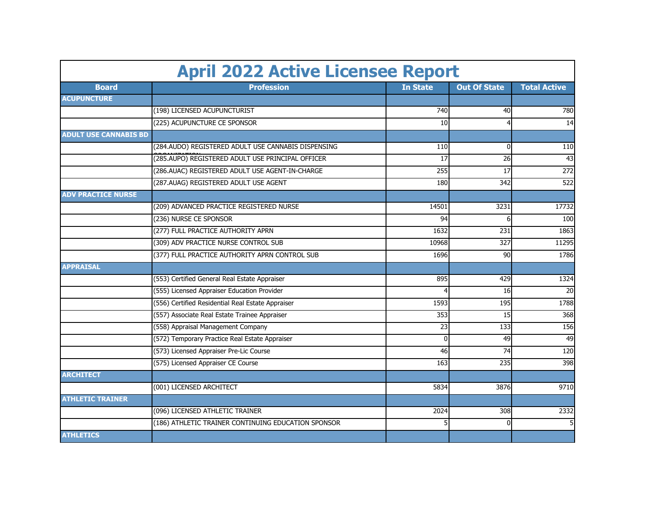|                              | <b>April 2022 Active Licensee Report</b>            |                 |                     |                     |
|------------------------------|-----------------------------------------------------|-----------------|---------------------|---------------------|
| <b>Board</b>                 | <b>Profession</b>                                   | <b>In State</b> | <b>Out Of State</b> | <b>Total Active</b> |
| <b>ACUPUNCTURE</b>           |                                                     |                 |                     |                     |
|                              | (198) LICENSED ACUPUNCTURIST                        | <b>740</b>      | 40                  | 780                 |
|                              | (225) ACUPUNCTURE CE SPONSOR                        | 10              | 4                   | 14                  |
| <b>ADULT USE CANNABIS BD</b> |                                                     |                 |                     |                     |
|                              | (284.AUDO) REGISTERED ADULT USE CANNABIS DISPENSING | 110             | $\Omega$            | 110                 |
|                              | (285.AUPO) REGISTERED ADULT USE PRINCIPAL OFFICER   | 17              | 26                  | 43                  |
|                              | (286.AUAC) REGISTERED ADULT USE AGENT-IN-CHARGE     | 255             | 17                  | $\overline{272}$    |
|                              | (287.AUAG) REGISTERED ADULT USE AGENT               | 180             | 342                 | 522                 |
| <b>ADV PRACTICE NURSE</b>    |                                                     |                 |                     |                     |
|                              | (209) ADVANCED PRACTICE REGISTERED NURSE            | 14501           | 3231                | 17732               |
|                              | (236) NURSE CE SPONSOR                              | 94              | 6                   | 100                 |
|                              | (277) FULL PRACTICE AUTHORITY APRN                  | 1632            | 231                 | 1863                |
|                              | (309) ADV PRACTICE NURSE CONTROL SUB                | 10968           | 327                 | 11295               |
|                              | (377) FULL PRACTICE AUTHORITY APRN CONTROL SUB      | 1696            | 90                  | 1786                |
| <b>APPRAISAL</b>             |                                                     |                 |                     |                     |
|                              | (553) Certified General Real Estate Appraiser       | 895             | 429                 | 1324                |
|                              | (555) Licensed Appraiser Education Provider         |                 | 16                  | 20                  |
|                              | (556) Certified Residential Real Estate Appraiser   | 1593            | 195                 | 1788                |
|                              | (557) Associate Real Estate Trainee Appraiser       | 353             | 15                  | 368                 |
|                              | (558) Appraisal Management Company                  | 23              | 133                 | 156                 |
|                              | (572) Temporary Practice Real Estate Appraiser      | $\Omega$        | 49                  | 49                  |
|                              | (573) Licensed Appraiser Pre-Lic Course             | 46              | 74                  | 120                 |
|                              | (575) Licensed Appraiser CE Course                  | 163             | 235                 | 398                 |
| <b>ARCHITECT</b>             |                                                     |                 |                     |                     |
|                              | (001) LICENSED ARCHITECT                            | 5834            | 3876                | 9710                |
| <b>ATHLETIC TRAINER</b>      |                                                     |                 |                     |                     |
|                              | (096) LICENSED ATHLETIC TRAINER                     | 2024            | 308                 | 2332                |
|                              | (186) ATHLETIC TRAINER CONTINUING EDUCATION SPONSOR |                 | $\Omega$            | 5                   |
| <b>ATHLETICS</b>             |                                                     |                 |                     |                     |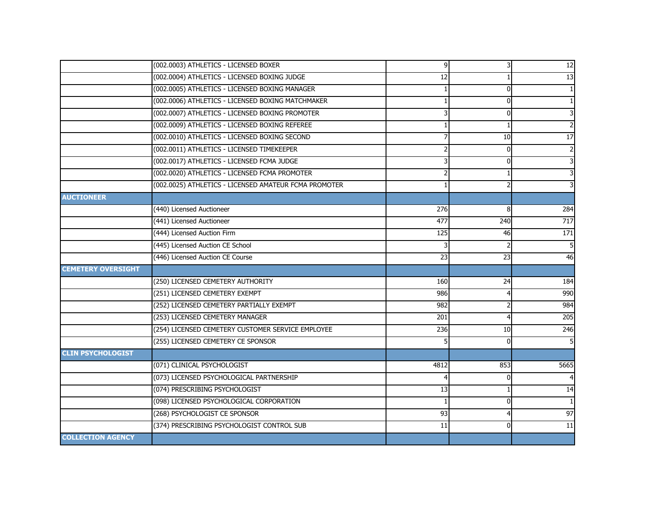|                           | (002.0003) ATHLETICS - LICENSED BOXER                 | 9 <sub>l</sub> | 31             | 12                      |
|---------------------------|-------------------------------------------------------|----------------|----------------|-------------------------|
|                           | (002.0004) ATHLETICS - LICENSED BOXING JUDGE          | 12             |                | 13                      |
|                           | (002.0005) ATHLETICS - LICENSED BOXING MANAGER        |                | $\overline{0}$ |                         |
|                           | (002.0006) ATHLETICS - LICENSED BOXING MATCHMAKER     |                | 0              | $\mathbf{1}$            |
|                           | (002.0007) ATHLETICS - LICENSED BOXING PROMOTER       | 3              | $\overline{0}$ | ω                       |
|                           | (002.0009) ATHLETICS - LICENSED BOXING REFEREE        |                |                | $\mathbf 2$             |
|                           | (002.0010) ATHLETICS - LICENSED BOXING SECOND         |                | 10             | $\overline{17}$         |
|                           | (002.0011) ATHLETICS - LICENSED TIMEKEEPER            | $\overline{2}$ | $\mathbf 0$    | $\overline{2}$          |
|                           | (002.0017) ATHLETICS - LICENSED FCMA JUDGE            |                | $\overline{0}$ | ω                       |
|                           | (002.0020) ATHLETICS - LICENSED FCMA PROMOTER         |                |                | $\overline{\mathbf{3}}$ |
|                           | (002.0025) ATHLETICS - LICENSED AMATEUR FCMA PROMOTER |                | 2              | υ                       |
| <b>AUCTIONEER</b>         |                                                       |                |                |                         |
|                           | (440) Licensed Auctioneer                             | 276            | 8              | 284                     |
|                           | (441) Licensed Auctioneer                             | 477            | 240            | 717                     |
|                           | (444) Licensed Auction Firm                           | 125            | 46             | 171                     |
|                           | (445) Licensed Auction CE School                      |                |                | 5                       |
|                           | (446) Licensed Auction CE Course                      | 23             | 23             | 46                      |
| <b>CEMETERY OVERSIGHT</b> |                                                       |                |                |                         |
|                           | (250) LICENSED CEMETERY AUTHORITY                     | 160            | 24             | 184                     |
|                           | (251) LICENSED CEMETERY EXEMPT                        | 986            | 4              | 990                     |
|                           | (252) LICENSED CEMETERY PARTIALLY EXEMPT              | 982            | 2              | 984                     |
|                           | (253) LICENSED CEMETERY MANAGER                       | 201            | 4              | 205                     |
|                           | (254) LICENSED CEMETERY CUSTOMER SERVICE EMPLOYEE     | 236            | 10             | 246                     |
|                           | (255) LICENSED CEMETERY CE SPONSOR                    |                | $\overline{0}$ | 5 <sup>1</sup>          |
| <b>CLIN PSYCHOLOGIST</b>  |                                                       |                |                |                         |
|                           | (071) CLINICAL PSYCHOLOGIST                           | 4812           | 853            | 5665                    |
|                           | (073) LICENSED PSYCHOLOGICAL PARTNERSHIP              |                | $\overline{0}$ |                         |
|                           | (074) PRESCRIBING PSYCHOLOGIST                        | 13             |                | 14                      |
|                           | (098) LICENSED PSYCHOLOGICAL CORPORATION              | $\mathbf{1}$   | $\overline{0}$ | $\mathbf{1}$            |
|                           | (268) PSYCHOLOGIST CE SPONSOR                         | 93             | $\overline{4}$ | 97                      |
|                           | (374) PRESCRIBING PSYCHOLOGIST CONTROL SUB            | 11             | 0              | 11                      |
| <b>COLLECTION AGENCY</b>  |                                                       |                |                |                         |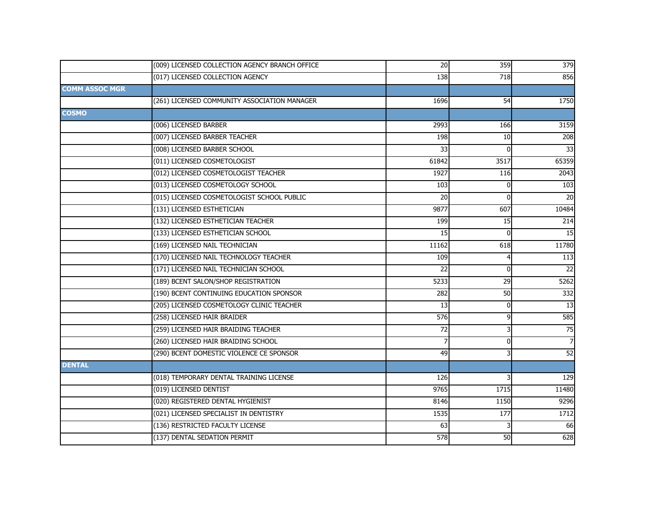|                       | (009) LICENSED COLLECTION AGENCY BRANCH OFFICE | 20              | 359            | 379             |
|-----------------------|------------------------------------------------|-----------------|----------------|-----------------|
|                       | (017) LICENSED COLLECTION AGENCY               | 138             | 718            | 856             |
| <b>COMM ASSOC MGR</b> |                                                |                 |                |                 |
|                       | (261) LICENSED COMMUNITY ASSOCIATION MANAGER   | 1696            | 54             | 1750            |
| <b>COSMO</b>          |                                                |                 |                |                 |
|                       | (006) LICENSED BARBER                          | 2993            | 166            | 3159            |
|                       | (007) LICENSED BARBER TEACHER                  | 198             | 10             | 208             |
|                       | (008) LICENSED BARBER SCHOOL                   | 33              | $\Omega$       | 33              |
|                       | (011) LICENSED COSMETOLOGIST                   | 61842           | 3517           | 65359           |
|                       | (012) LICENSED COSMETOLOGIST TEACHER           | 1927            | 116            | 2043            |
|                       | (013) LICENSED COSMETOLOGY SCHOOL              | 103             | $\Omega$       | 103             |
|                       | (015) LICENSED COSMETOLOGIST SCHOOL PUBLIC     | 20              | $\Omega$       | 20              |
|                       | (131) LICENSED ESTHETICIAN                     | 9877            | 607            | 10484           |
|                       | (132) LICENSED ESTHETICIAN TEACHER             | 199             | 15             | 214             |
|                       | (133) LICENSED ESTHETICIAN SCHOOL              | 15              | $\Omega$       | 15              |
|                       | (169) LICENSED NAIL TECHNICIAN                 | 11162           | 618            | 11780           |
|                       | (170) LICENSED NAIL TECHNOLOGY TEACHER         | 109             |                | 113             |
|                       | (171) LICENSED NAIL TECHNICIAN SCHOOL          | $\overline{22}$ | 0              | 22              |
|                       | (189) BCENT SALON/SHOP REGISTRATION            | 5233            | 29             | 5262            |
|                       | (190) BCENT CONTINUING EDUCATION SPONSOR       | 282             | 50             | 332             |
|                       | (205) LICENSED COSMETOLOGY CLINIC TEACHER      | 13              | $\overline{0}$ | $\overline{13}$ |
|                       | (258) LICENSED HAIR BRAIDER                    | 576             | 9              | 585             |
|                       | (259) LICENSED HAIR BRAIDING TEACHER           | 72              |                | 75              |
|                       | (260) LICENSED HAIR BRAIDING SCHOOL            |                 | 0              | $\overline{7}$  |
|                       | (290) BCENT DOMESTIC VIOLENCE CE SPONSOR       | 49              |                | 52              |
| <b>DENTAL</b>         |                                                |                 |                |                 |
|                       | (018) TEMPORARY DENTAL TRAINING LICENSE        | 126             |                | 129             |
|                       | (019) LICENSED DENTIST                         | 9765            | 1715           | 11480           |
|                       | (020) REGISTERED DENTAL HYGIENIST              | 8146            | 1150           | 9296            |
|                       | (021) LICENSED SPECIALIST IN DENTISTRY         | 1535            | 177            | 1712            |
|                       | (136) RESTRICTED FACULTY LICENSE               | 63              |                | 66              |
|                       | (137) DENTAL SEDATION PERMIT                   | 578             | 50             | 628             |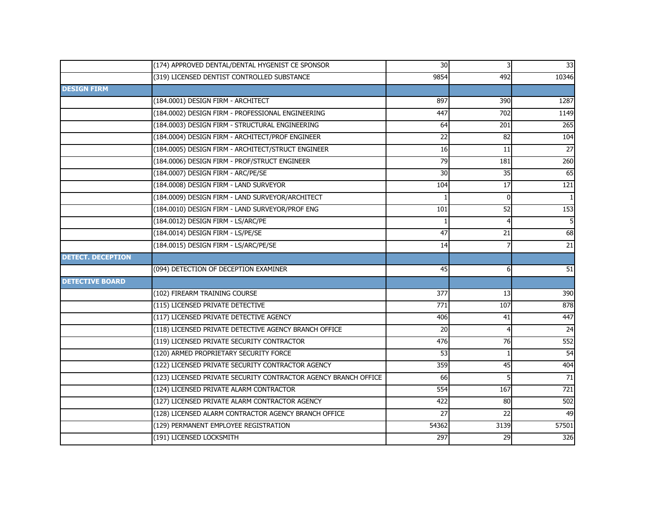|                          | (174) APPROVED DENTAL/DENTAL HYGENIST CE SPONSOR                | 30              | $\overline{\mathsf{3}}$ | 33              |
|--------------------------|-----------------------------------------------------------------|-----------------|-------------------------|-----------------|
|                          | (319) LICENSED DENTIST CONTROLLED SUBSTANCE                     | 9854            | 492                     | 10346           |
| <b>DESIGN FIRM</b>       |                                                                 |                 |                         |                 |
|                          | (184.0001) DESIGN FIRM - ARCHITECT                              | 897             | 390                     | 1287            |
|                          | (184.0002) DESIGN FIRM - PROFESSIONAL ENGINEERING               | 447             | 702                     | 1149            |
|                          | (184.0003) DESIGN FIRM - STRUCTURAL ENGINEERING                 | 64              | 201                     | 265             |
|                          | (184.0004) DESIGN FIRM - ARCHITECT/PROF ENGINEER                | $\overline{22}$ | 82                      | 104             |
|                          | (184.0005) DESIGN FIRM - ARCHITECT/STRUCT ENGINEER              | 16              | 11                      | $\overline{27}$ |
|                          | (184.0006) DESIGN FIRM - PROF/STRUCT ENGINEER                   | 79              | 181                     | 260             |
|                          | (184.0007) DESIGN FIRM - ARC/PE/SE                              | 30              | 35                      | 65              |
|                          | (184.0008) DESIGN FIRM - LAND SURVEYOR                          | 104             | 17                      | 121             |
|                          | (184.0009) DESIGN FIRM - LAND SURVEYOR/ARCHITECT                |                 | $\Omega$                |                 |
|                          | (184.0010) DESIGN FIRM - LAND SURVEYOR/PROF ENG                 | 101             | 52                      | 153             |
|                          | (184.0012) DESIGN FIRM - LS/ARC/PE                              |                 |                         | 5               |
|                          | (184.0014) DESIGN FIRM - LS/PE/SE                               | 47              | 21                      | 68              |
|                          | (184.0015) DESIGN FIRM - LS/ARC/PE/SE                           | 14              |                         | $\overline{21}$ |
| <b>DETECT. DECEPTION</b> |                                                                 |                 |                         |                 |
|                          | (094) DETECTION OF DECEPTION EXAMINER                           | 45              | 6                       | 51              |
| <b>DETECTIVE BOARD</b>   |                                                                 |                 |                         |                 |
|                          | (102) FIREARM TRAINING COURSE                                   | 377             | 13                      | 390             |
|                          | (115) LICENSED PRIVATE DETECTIVE                                | 771             | 107                     | 878             |
|                          | (117) LICENSED PRIVATE DETECTIVE AGENCY                         | 406             | 41                      | 447             |
|                          | (118) LICENSED PRIVATE DETECTIVE AGENCY BRANCH OFFICE           | 20              | 4                       | $\overline{24}$ |
|                          | (119) LICENSED PRIVATE SECURITY CONTRACTOR                      | 476             | 76                      | 552             |
|                          | (120) ARMED PROPRIETARY SECURITY FORCE                          | 53              |                         | 54              |
|                          | (122) LICENSED PRIVATE SECURITY CONTRACTOR AGENCY               | 359             | 45                      | 404             |
|                          |                                                                 |                 |                         |                 |
|                          | (123) LICENSED PRIVATE SECURITY CONTRACTOR AGENCY BRANCH OFFICE | 66              | 5                       | 71              |
|                          | (124) LICENSED PRIVATE ALARM CONTRACTOR                         | 554             | 167                     | 721             |
|                          | (127) LICENSED PRIVATE ALARM CONTRACTOR AGENCY                  | 422             | 80                      | 502             |
|                          | (128) LICENSED ALARM CONTRACTOR AGENCY BRANCH OFFICE            | 27              | 22                      | 49              |
|                          | (129) PERMANENT EMPLOYEE REGISTRATION                           | 54362           | 3139                    | 57501           |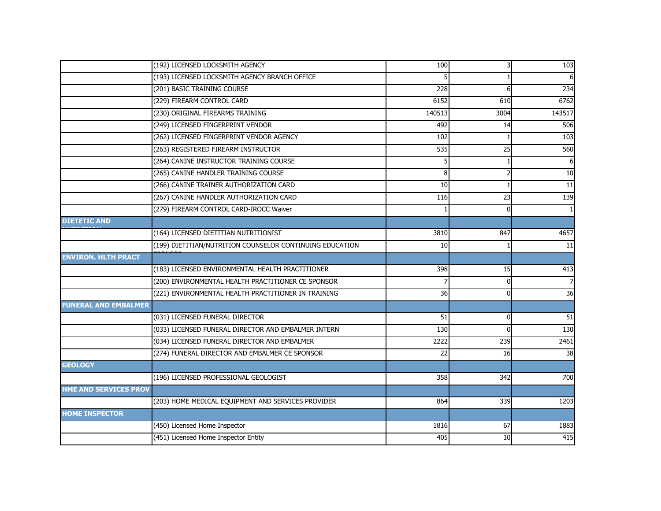|                              | (192) LICENSED LOCKSMITH AGENCY                          | 100             | 3               | 103             |
|------------------------------|----------------------------------------------------------|-----------------|-----------------|-----------------|
|                              | (193) LICENSED LOCKSMITH AGENCY BRANCH OFFICE            |                 |                 |                 |
|                              | (201) BASIC TRAINING COURSE                              | 228             | 6               | 234             |
|                              | (229) FIREARM CONTROL CARD                               | 6152            | 610             | 6762            |
|                              | (230) ORIGINAL FIREARMS TRAINING                         | 140513          | 3004            | 143517          |
|                              | (249) LICENSED FINGERPRINT VENDOR                        | 492             | 14              | 506             |
|                              | (262) LICENSED FINGERPRINT VENDOR AGENCY                 | 102             |                 | 103             |
|                              | (263) REGISTERED FIREARM INSTRUCTOR                      | 535             | $\overline{25}$ | 560             |
|                              | (264) CANINE INSTRUCTOR TRAINING COURSE                  |                 |                 |                 |
|                              | (265) CANINE HANDLER TRAINING COURSE                     | 8               |                 | 10              |
|                              | (266) CANINE TRAINER AUTHORIZATION CARD                  | 10              |                 | $\overline{11}$ |
|                              | (267) CANINE HANDLER AUTHORIZATION CARD                  | 116             | 23              | 139             |
|                              | (279) FIREARM CONTROL CARD-IROCC Waiver                  |                 | 0               |                 |
| <b>DIETETIC AND</b>          |                                                          |                 |                 |                 |
|                              | (164) LICENSED DIETITIAN NUTRITIONIST                    | 3810            | 847             | 4657            |
|                              | (199) DIETITIAN/NUTRITION COUNSELOR CONTINUING EDUCATION | 10              |                 | 11              |
| <b>ENVIRON. HLTH PRACT</b>   |                                                          |                 |                 |                 |
|                              | (183) LICENSED ENVIRONMENTAL HEALTH PRACTITIONER         | 398             | 15              | 413             |
|                              | (200) ENVIRONMENTAL HEALTH PRACTITIONER CE SPONSOR       |                 | 0               |                 |
|                              | (221) ENVIRONMENTAL HEALTH PRACTITIONER IN TRAINING      | 36              | 0               | 36              |
| <b>FUNERAL AND EMBALMER</b>  |                                                          |                 |                 |                 |
|                              | (031) LICENSED FUNERAL DIRECTOR                          | $\overline{51}$ | 0               | 51              |
|                              | (033) LICENSED FUNERAL DIRECTOR AND EMBALMER INTERN      | 130             | $\Omega$        | 130             |
|                              | (034) LICENSED FUNERAL DIRECTOR AND EMBALMER             | 2222            | 239             | 2461            |
|                              | (274) FUNERAL DIRECTOR AND EMBALMER CE SPONSOR           | 22              | 16              | 38              |
| <b>GEOLOGY</b>               |                                                          |                 |                 |                 |
|                              | (196) LICENSED PROFESSIONAL GEOLOGIST                    | 358             | 342             | 700             |
| <b>HME AND SERVICES PROV</b> |                                                          |                 |                 |                 |
|                              | (203) HOME MEDICAL EQUIPMENT AND SERVICES PROVIDER       | 864             | 339             | 1203            |
| <b>HOME INSPECTOR</b>        |                                                          |                 |                 |                 |
|                              | (450) Licensed Home Inspector                            | 1816            | 67              | 1883            |
|                              | (451) Licensed Home Inspector Entity                     | 405             | 10              | 415             |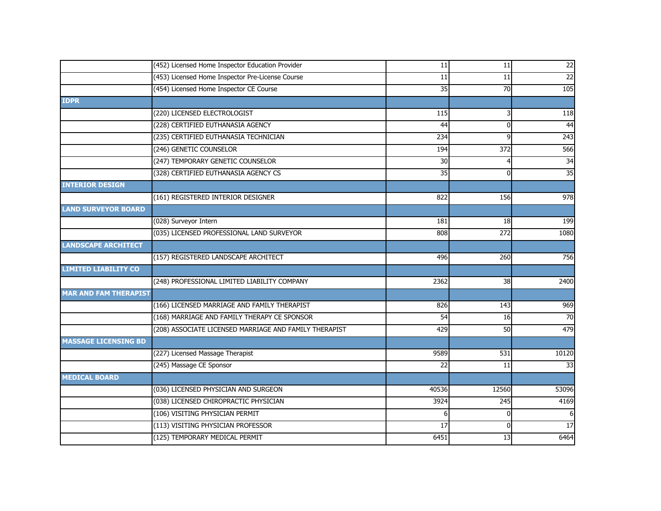| (453) Licensed Home Inspector Pre-License Course<br>11<br>11<br>(454) Licensed Home Inspector CE Course<br>$\overline{35}$<br>70<br><b>IDPR</b><br>(220) LICENSED ELECTROLOGIST<br>115<br>(228) CERTIFIED EUTHANASIA AGENCY<br>44<br>$\Omega$<br>(235) CERTIFIED EUTHANASIA TECHNICIAN<br>234<br>9<br>(246) GENETIC COUNSELOR<br>372<br>194<br>(247) TEMPORARY GENETIC COUNSELOR<br>30<br>4 |
|---------------------------------------------------------------------------------------------------------------------------------------------------------------------------------------------------------------------------------------------------------------------------------------------------------------------------------------------------------------------------------------------|
|                                                                                                                                                                                                                                                                                                                                                                                             |
|                                                                                                                                                                                                                                                                                                                                                                                             |
|                                                                                                                                                                                                                                                                                                                                                                                             |
|                                                                                                                                                                                                                                                                                                                                                                                             |
|                                                                                                                                                                                                                                                                                                                                                                                             |
|                                                                                                                                                                                                                                                                                                                                                                                             |
|                                                                                                                                                                                                                                                                                                                                                                                             |
|                                                                                                                                                                                                                                                                                                                                                                                             |
| (328) CERTIFIED EUTHANASIA AGENCY CS<br>35<br>0                                                                                                                                                                                                                                                                                                                                             |
| <b>INTERIOR DESIGN</b>                                                                                                                                                                                                                                                                                                                                                                      |
| (161) REGISTERED INTERIOR DESIGNER<br>822<br>156                                                                                                                                                                                                                                                                                                                                            |
| <b>LAND SURVEYOR BOARD</b>                                                                                                                                                                                                                                                                                                                                                                  |
| (028) Surveyor Intern<br>181<br>18                                                                                                                                                                                                                                                                                                                                                          |
| (035) LICENSED PROFESSIONAL LAND SURVEYOR<br>808<br>272                                                                                                                                                                                                                                                                                                                                     |
| <b>LANDSCAPE ARCHITECT</b>                                                                                                                                                                                                                                                                                                                                                                  |
| (157) REGISTERED LANDSCAPE ARCHITECT<br>496<br>260                                                                                                                                                                                                                                                                                                                                          |
| <b>LIMITED LIABILITY CO</b>                                                                                                                                                                                                                                                                                                                                                                 |
| (248) PROFESSIONAL LIMITED LIABILITY COMPANY<br>2362<br>$\overline{38}$                                                                                                                                                                                                                                                                                                                     |
| <b>MAR AND FAM THERAPIST</b>                                                                                                                                                                                                                                                                                                                                                                |
| (166) LICENSED MARRIAGE AND FAMILY THERAPIST<br>826<br>143                                                                                                                                                                                                                                                                                                                                  |
| (168) MARRIAGE AND FAMILY THERAPY CE SPONSOR<br>54<br>16                                                                                                                                                                                                                                                                                                                                    |
| (208) ASSOCIATE LICENSED MARRIAGE AND FAMILY THERAPIST<br>429<br>50                                                                                                                                                                                                                                                                                                                         |
| <b>MASSAGE LICENSING BD</b>                                                                                                                                                                                                                                                                                                                                                                 |
| (227) Licensed Massage Therapist<br>9589<br>10120<br>531                                                                                                                                                                                                                                                                                                                                    |
| (245) Massage CE Sponsor<br>22<br>11                                                                                                                                                                                                                                                                                                                                                        |
| <b>MEDICAL BOARD</b>                                                                                                                                                                                                                                                                                                                                                                        |
| (036) LICENSED PHYSICIAN AND SURGEON<br>53096<br>40536<br>12560                                                                                                                                                                                                                                                                                                                             |
| (038) LICENSED CHIROPRACTIC PHYSICIAN<br>3924<br>245                                                                                                                                                                                                                                                                                                                                        |
| (106) VISITING PHYSICIAN PERMIT<br>6<br>0                                                                                                                                                                                                                                                                                                                                                   |
| (113) VISITING PHYSICIAN PROFESSOR<br>17<br>$\Omega$                                                                                                                                                                                                                                                                                                                                        |
| (125) TEMPORARY MEDICAL PERMIT<br>6451<br>13                                                                                                                                                                                                                                                                                                                                                |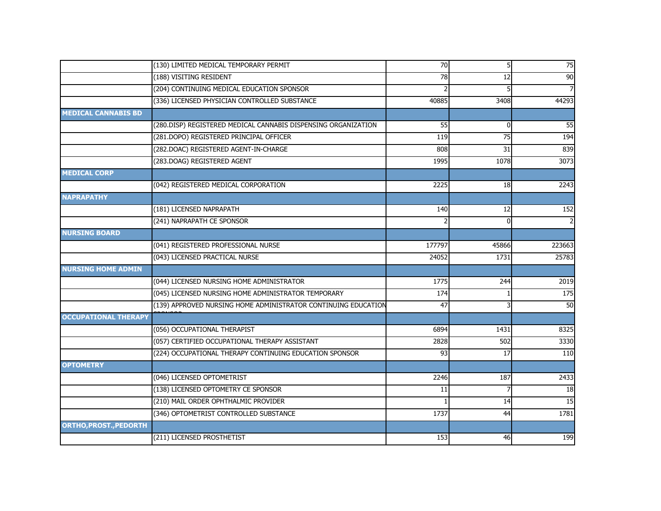|                             | (130) LIMITED MEDICAL TEMPORARY PERMIT                         | 70     | 5 <sup>1</sup>  | 75               |
|-----------------------------|----------------------------------------------------------------|--------|-----------------|------------------|
|                             | (188) VISITING RESIDENT                                        | 78     | 12              | $\overline{90}$  |
|                             | (204) CONTINUING MEDICAL EDUCATION SPONSOR                     |        |                 |                  |
|                             | (336) LICENSED PHYSICIAN CONTROLLED SUBSTANCE                  | 40885  | 3408            | 44293            |
| <b>MEDICAL CANNABIS BD</b>  |                                                                |        |                 |                  |
|                             | (280.DISP) REGISTERED MEDICAL CANNABIS DISPENSING ORGANIZATION | 55     | $\Omega$        | 55               |
|                             | (281.DOPO) REGISTERED PRINCIPAL OFFICER                        | 119    | 75              | 194              |
|                             | (282.DOAC) REGISTERED AGENT-IN-CHARGE                          | 808    | 31              | 839              |
|                             | (283.DOAG) REGISTERED AGENT                                    | 1995   | 1078            | 3073             |
| <b>MEDICAL CORP</b>         |                                                                |        |                 |                  |
|                             | (042) REGISTERED MEDICAL CORPORATION                           | 2225   | 18              | 2243             |
| <b>NAPRAPATHY</b>           |                                                                |        |                 |                  |
|                             | (181) LICENSED NAPRAPATH                                       | 140    | $\overline{12}$ | 152              |
|                             | (241) NAPRAPATH CE SPONSOR                                     |        | $\mathbf{0}$    |                  |
| <b>NURSING BOARD</b>        |                                                                |        |                 |                  |
|                             | (041) REGISTERED PROFESSIONAL NURSE                            | 177797 | 45866           | 223663           |
|                             | (043) LICENSED PRACTICAL NURSE                                 | 24052  | 1731            | 25783            |
| <b>NURSING HOME ADMIN</b>   |                                                                |        |                 |                  |
|                             | (044) LICENSED NURSING HOME ADMINISTRATOR                      | 1775   | 244             | 2019             |
|                             | (045) LICENSED NURSING HOME ADMINISTRATOR TEMPORARY            | 174    |                 | $\overline{175}$ |
|                             | (139) APPROVED NURSING HOME ADMINISTRATOR CONTINUING EDUCATION | 47     |                 | 50               |
| <b>OCCUPATIONAL THERAPY</b> |                                                                |        |                 |                  |
|                             | (056) OCCUPATIONAL THERAPIST                                   | 6894   | 1431            | 8325             |
|                             | (057) CERTIFIED OCCUPATIONAL THERAPY ASSISTANT                 | 2828   | 502             | 3330             |
|                             | (224) OCCUPATIONAL THERAPY CONTINUING EDUCATION SPONSOR        | 93     | 17              | $\overline{110}$ |
| <b>OPTOMETRY</b>            |                                                                |        |                 |                  |
|                             | (046) LICENSED OPTOMETRIST                                     | 2246   | 187             | 2433             |
|                             | (138) LICENSED OPTOMETRY CE SPONSOR                            | 11     |                 | 18               |
|                             | (210) MAIL ORDER OPHTHALMIC PROVIDER                           |        | 14              | 15               |
|                             | (346) OPTOMETRIST CONTROLLED SUBSTANCE                         | 1737   | 44              | 1781             |
| ORTHO, PROST., PEDORTH      |                                                                |        |                 |                  |
|                             | (211) LICENSED PROSTHETIST                                     | 153    | 46              | 199              |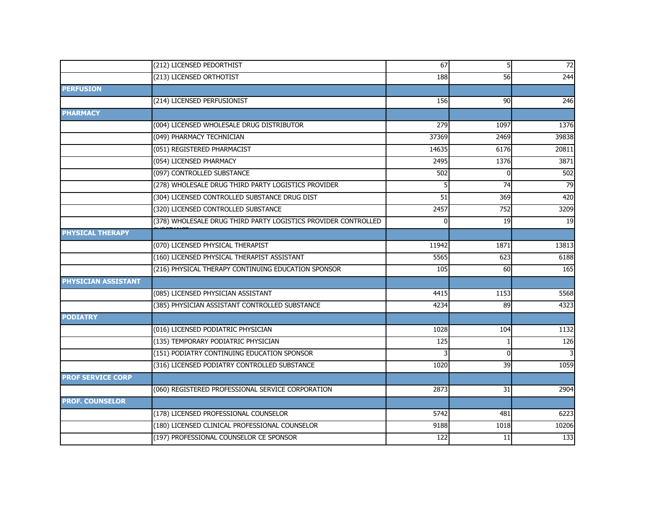|                          | (212) LICENSED PEDORTHIST                                      | 67    | 5 <sub>l</sub>  | 72            |
|--------------------------|----------------------------------------------------------------|-------|-----------------|---------------|
|                          | (213) LICENSED ORTHOTIST                                       | 188   | 56              | 244           |
| <b>PERFUSION</b>         |                                                                |       |                 |               |
|                          | (214) LICENSED PERFUSIONIST                                    | 156   | 90              | 246           |
| <b>PHARMACY</b>          |                                                                |       |                 |               |
|                          | (004) LICENSED WHOLESALE DRUG DISTRIBUTOR                      | 279   | 1097            | 1376          |
|                          | (049) PHARMACY TECHNICIAN                                      | 37369 | 2469            | 39838         |
|                          | (051) REGISTERED PHARMACIST                                    | 14635 | 6176            | 20811         |
|                          | (054) LICENSED PHARMACY                                        | 2495  | 1376            | 3871          |
|                          | (097) CONTROLLED SUBSTANCE                                     | 502   | 0               | 502           |
|                          | (278) WHOLESALE DRUG THIRD PARTY LOGISTICS PROVIDER            |       | 74              | 79            |
|                          | (304) LICENSED CONTROLLED SUBSTANCE DRUG DIST                  | 51    | 369             | 420           |
|                          | (320) LICENSED CONTROLLED SUBSTANCE                            | 2457  | 752             | 3209          |
|                          | (378) WHOLESALE DRUG THIRD PARTY LOGISTICS PROVIDER CONTROLLED | O     | 19              | 19            |
| <b>PHYSICAL THERAPY</b>  |                                                                |       |                 |               |
|                          | (070) LICENSED PHYSICAL THERAPIST                              | 11942 | 1871            | 13813         |
|                          | (160) LICENSED PHYSICAL THERAPIST ASSISTANT                    | 5565  | 623             | 6188          |
|                          | (216) PHYSICAL THERAPY CONTINUING EDUCATION SPONSOR            | 105   | 60              | 165           |
| PHYSICIAN ASSISTANT      |                                                                |       |                 |               |
|                          | (085) LICENSED PHYSICIAN ASSISTANT                             | 4415  | 1153            | 5568          |
|                          | (385) PHYSICIAN ASSISTANT CONTROLLED SUBSTANCE                 | 4234  | 89              | 4323          |
| <b>PODIATRY</b>          |                                                                |       |                 |               |
|                          | (016) LICENSED PODIATRIC PHYSICIAN                             | 1028  | 104             | 1132          |
|                          | (135) TEMPORARY PODIATRIC PHYSICIAN                            | 125   |                 | 126           |
|                          | (151) PODIATRY CONTINUING EDUCATION SPONSOR                    |       | $\Omega$        |               |
|                          | (316) LICENSED PODIATRY CONTROLLED SUBSTANCE                   | 1020  | $\overline{39}$ | 1059          |
| <b>PROF SERVICE CORP</b> |                                                                |       |                 |               |
|                          | (060) REGISTERED PROFESSIONAL SERVICE CORPORATION              | 2873  | 31              | 2904          |
| <b>PROF. COUNSELOR</b>   |                                                                |       |                 |               |
|                          | (178) LICENSED PROFESSIONAL COUNSELOR                          | 5742  | 481             | 6223          |
|                          | (180) LICENSED CLINICAL PROFESSIONAL COUNSELOR                 | 9188  | 1018            | 10206         |
|                          | (197) PROFESSIONAL COUNSELOR CE SPONSOR                        | 122   | 11              | $\boxed{133}$ |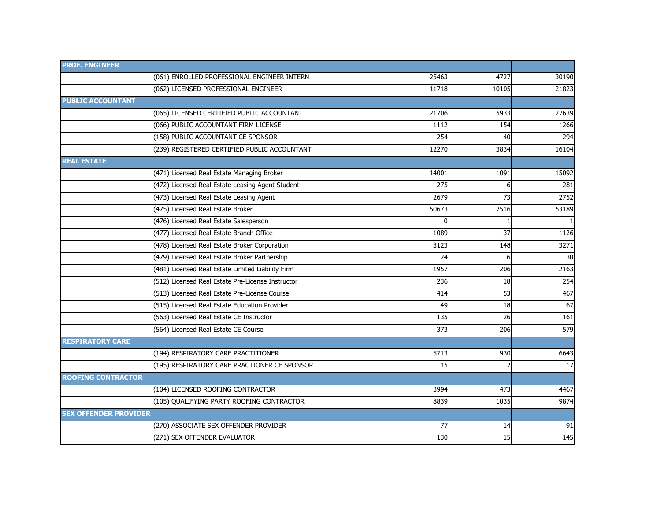| <b>PROF. ENGINEER</b>        |                                                   |       |       |       |
|------------------------------|---------------------------------------------------|-------|-------|-------|
|                              | (061) ENROLLED PROFESSIONAL ENGINEER INTERN       | 25463 | 4727  | 30190 |
|                              | (062) LICENSED PROFESSIONAL ENGINEER              | 11718 | 10105 | 21823 |
| <b>PUBLIC ACCOUNTANT</b>     |                                                   |       |       |       |
|                              | (065) LICENSED CERTIFIED PUBLIC ACCOUNTANT        | 21706 | 5933  | 27639 |
|                              | (066) PUBLIC ACCOUNTANT FIRM LICENSE              | 1112  | 154   | 1266  |
|                              | (158) PUBLIC ACCOUNTANT CE SPONSOR                | 254   | 40    | 294   |
|                              | (239) REGISTERED CERTIFIED PUBLIC ACCOUNTANT      | 12270 | 3834  | 16104 |
| <b>REAL ESTATE</b>           |                                                   |       |       |       |
|                              | (471) Licensed Real Estate Managing Broker        | 14001 | 1091  | 15092 |
|                              | (472) Licensed Real Estate Leasing Agent Student  | 275   | 6     | 281   |
|                              | (473) Licensed Real Estate Leasing Agent          | 2679  | 73    | 2752  |
|                              | (475) Licensed Real Estate Broker                 | 50673 | 2516  | 53189 |
|                              | (476) Licensed Real Estate Salesperson            |       |       |       |
|                              | (477) Licensed Real Estate Branch Office          | 1089  | 37    | 1126  |
|                              | (478) Licensed Real Estate Broker Corporation     | 3123  | 148   | 3271  |
|                              | (479) Licensed Real Estate Broker Partnership     | 24    | 6     | 30    |
|                              | (481) Licensed Real Estate Limited Liability Firm | 1957  | 206   | 2163  |
|                              | (512) Licensed Real Estate Pre-License Instructor | 236   | 18    | 254   |
|                              | (513) Licensed Real Estate Pre-License Course     | 414   | 53    | 467   |
|                              | (515) Licensed Real Estate Education Provider     | 49    | 18    | 67    |
|                              | (563) Licensed Real Estate CE Instructor          | 135   | 26    | 161   |
|                              | (564) Licensed Real Estate CE Course              | 373   | 206   | 579   |
| <b>RESPIRATORY CARE</b>      |                                                   |       |       |       |
|                              | (194) RESPIRATORY CARE PRACTITIONER               | 5713  | 930   | 6643  |
|                              | (195) RESPIRATORY CARE PRACTIONER CE SPONSOR      | 15    |       | 17    |
| <b>ROOFING CONTRACTOR</b>    |                                                   |       |       |       |
|                              | (104) LICENSED ROOFING CONTRACTOR                 | 3994  | 473   | 4467  |
|                              | (105) QUALIFYING PARTY ROOFING CONTRACTOR         | 8839  | 1035  | 9874  |
| <b>SEX OFFENDER PROVIDER</b> |                                                   |       |       |       |
|                              | (270) ASSOCIATE SEX OFFENDER PROVIDER             | 77    | 14    | 91    |
|                              | (271) SEX OFFENDER EVALUATOR                      | 130   | 15    | 145   |